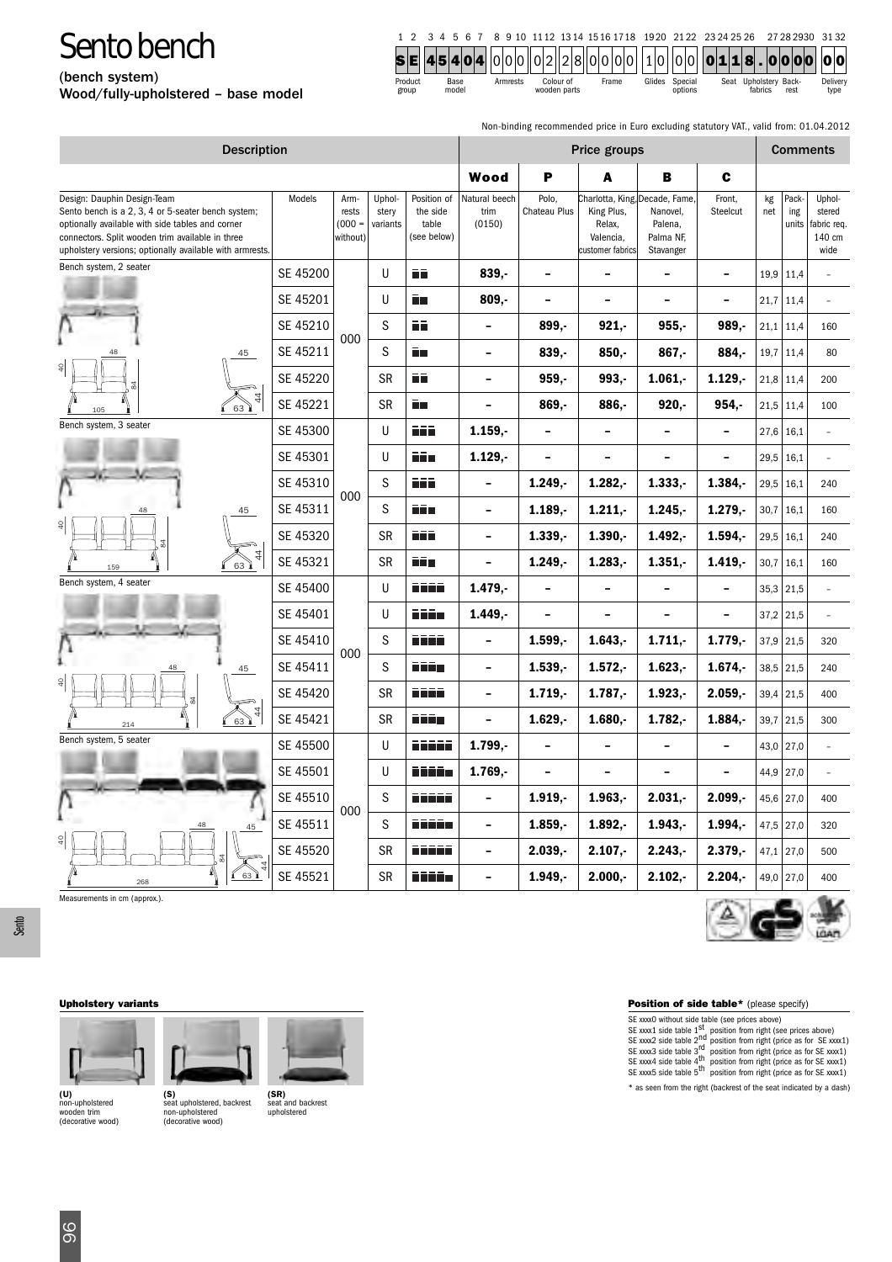(bench system) Wood/fully-upholstered – base model

| 1 2 3 4 5 6 7 8 9 10 1112 1314 1516 1718 1920 21 22 23 24 25 26 27 28 2930 31 32 |
|----------------------------------------------------------------------------------|
|----------------------------------------------------------------------------------|

| Product | Base  | Armrests | Colour of    | <b>Frame</b> | Glides<br>Special | Seat Upholstery Back- | Delivery     |
|---------|-------|----------|--------------|--------------|-------------------|-----------------------|--------------|
| group   | model |          | wooden parts |              | options           | fabrics               | rest<br>tvpe |

Non-binding recommended price in Euro excluding statutory VAT., valid from: 01.04.2012

| <b>Description</b>                                                                                                                                                                                                                                    | Price groups |                                       |                             |                                                 |                                 | <b>Comments</b>          |                                                       |                                                                                 |                          |           |                       |                                                  |
|-------------------------------------------------------------------------------------------------------------------------------------------------------------------------------------------------------------------------------------------------------|--------------|---------------------------------------|-----------------------------|-------------------------------------------------|---------------------------------|--------------------------|-------------------------------------------------------|---------------------------------------------------------------------------------|--------------------------|-----------|-----------------------|--------------------------------------------------|
|                                                                                                                                                                                                                                                       |              |                                       |                             |                                                 | Wood                            | P                        | A                                                     | в                                                                               | C                        |           |                       |                                                  |
| Design: Dauphin Design-Team<br>Sento bench is a 2, 3, 4 or 5-seater bench system;<br>optionally available with side tables and corner<br>connectors. Split wooden trim available in three<br>upholstery versions; optionally available with armrests. | Models       | Arm-<br>rests<br>$(000 =$<br>without) | Uphol-<br>stery<br>variants | Position of<br>the side<br>table<br>(see below) | Natural beech<br>trim<br>(0150) | Polo,<br>Chateau Plus    | King Plus,<br>Relax,<br>Valencia,<br>customer fabrics | Charlotta, King, Decade, Fame,<br>Nanovel,<br>Palena,<br>Palma NF,<br>Stavanger | Front,<br>Steelcut       | kg<br>net | Pack-<br>ing<br>units | Uphol-<br>stered<br>abric req.<br>140 cm<br>wide |
| Bench system, 2 seater                                                                                                                                                                                                                                | SE 45200     |                                       | U                           | ŌŌ                                              | $839 -$                         | $\overline{a}$           |                                                       | -                                                                               | $\overline{\phantom{a}}$ |           | $19.9$ 11.4           |                                                  |
|                                                                                                                                                                                                                                                       | SE 45201     |                                       | U                           | ñп                                              | $809, -$                        | $\overline{a}$           | $\overline{\phantom{0}}$                              | $\overline{a}$                                                                  | $\overline{a}$           | 21,7      | 11,4                  |                                                  |
|                                                                                                                                                                                                                                                       | SE 45210     | 000                                   | S                           | ΠĒ                                              | $\overline{\phantom{0}}$        | 899,-                    | 921,                                                  | $955,-$                                                                         | $989, -$                 | 21,1      | 11,4                  | 160                                              |
| 45                                                                                                                                                                                                                                                    | SE 45211     |                                       | S                           | ĒП                                              | $\overline{\phantom{a}}$        | 839,-                    | $850 -$                                               | 867,                                                                            | 884,-                    | 19,7      | 11,4                  | 80                                               |
|                                                                                                                                                                                                                                                       | SE 45220     |                                       | <b>SR</b>                   | ۸ō                                              | $\overline{\phantom{0}}$        | 959.-                    | $993, -$                                              | $1.061, -$                                                                      | $1.129, -$               |           | $21.8$ 11.4           | 200                                              |
| 63<br>105                                                                                                                                                                                                                                             | SE 45221     |                                       | <b>SR</b>                   | Ō۸                                              | $\overline{a}$                  | 869.-                    | 886,-                                                 | 920.                                                                            | 954,-                    | 21,5      | 11,4                  | 100                                              |
| Bench system, 3 seater                                                                                                                                                                                                                                | SE 45300     |                                       | U                           | ñiñ                                             | $1.159. -$                      | $\overline{a}$           |                                                       | $\overline{a}$                                                                  | $\overline{\phantom{0}}$ |           | $27,6$ 16,1           |                                                  |
|                                                                                                                                                                                                                                                       | SE 45301     |                                       | U                           | ññ a                                            | $1.129, -$                      | $\overline{\phantom{0}}$ |                                                       | $\overline{a}$                                                                  | $\overline{\phantom{0}}$ | 29,5      | 16,1                  |                                                  |
|                                                                                                                                                                                                                                                       | SE 45310     |                                       | S                           | 66 i                                            | $\overline{\phantom{a}}$        | $1.249. -$               | $1.282 -$                                             | $1.333 -$                                                                       | $1.384. -$               | 29,5      | 16,1                  | 240                                              |
| 45                                                                                                                                                                                                                                                    | SE 45311     | 000                                   | S                           | د د د                                           | $\overline{\phantom{0}}$        | $1.189. -$               | 1.211.                                                | 1.245.                                                                          | $1.279, -$               |           | $30.7$ 16.1           | 160                                              |
|                                                                                                                                                                                                                                                       | SE 45320     |                                       | <b>SR</b>                   | 65 i                                            |                                 | $1.339 -$                | $1.390 -$                                             | $1.492. -$                                                                      | 1.594.                   | 29,5      | 16,1                  | 240                                              |
| 4<br>63<br>15c                                                                                                                                                                                                                                        | SE 45321     |                                       | <b>SR</b>                   | fii s                                           | $\overline{\phantom{0}}$        | $1.249. -$               | $1.283, -$                                            | $1.351, -$                                                                      | $1.419, -$               | 30,7      | 16,1                  | 160                                              |
| Bench system, 4 seater                                                                                                                                                                                                                                | SE 45400     |                                       | U                           | قققة                                            | $1.479. -$                      | -                        | -                                                     | -                                                                               | $\overline{\phantom{a}}$ |           | $35,3$ 21,5           |                                                  |
|                                                                                                                                                                                                                                                       | SE 45401     |                                       | U                           | د دُرگ                                          | $1.449, -$                      | -                        | $\overline{\phantom{0}}$                              | $\overline{a}$                                                                  | $\qquad \qquad -$        |           | $37,2$ 21,5           |                                                  |
|                                                                                                                                                                                                                                                       | SE 45410     | 000                                   | S                           | قققة                                            | $\overline{a}$                  | $1.599. -$               | $1.643. -$                                            | 1.711.                                                                          | $1.779, -$               |           | $37.9$ 21.5           | 320                                              |
| 45                                                                                                                                                                                                                                                    | SE 45411     |                                       | S                           | Tito                                            | $\overline{\phantom{a}}$        | $1.539, -$               | $1.572, -$                                            | $1.623, -$                                                                      | 1.674,                   | 38,5      | 21,5                  | 240                                              |
|                                                                                                                                                                                                                                                       | SE 45420     |                                       | <b>SR</b>                   | قققة                                            | $\overline{\phantom{a}}$        | $1.719, -$               | $1.787, -$                                            | $1.923. -$                                                                      | $2.059. -$               | 39,4      | 21,5                  | 400                                              |
| 63<br>214                                                                                                                                                                                                                                             | SE 45421     |                                       | <b>SR</b>                   | ññña                                            | $\overline{\phantom{a}}$        | $1.629, -$               | $1.680 -$                                             | $1.782, -$                                                                      | $1.884, -$               |           | 39,7 21,5             | 300                                              |
| Bench system, 5 seater                                                                                                                                                                                                                                | SE 45500     |                                       | U                           | قققق                                            | $1.799, -$                      | $\overline{\phantom{0}}$ | $\qquad \qquad -$                                     | $\overline{a}$                                                                  | $\overline{\phantom{a}}$ |           | 43,0 27,0             |                                                  |
|                                                                                                                                                                                                                                                       | SE 45501     |                                       | U                           | n na na                                         | $1.769, -$                      | -                        | $\overline{\phantom{0}}$                              | $\overline{a}$                                                                  | $\overline{\phantom{0}}$ | 44,9      | 27,0                  |                                                  |
|                                                                                                                                                                                                                                                       | SE 45510     | 000                                   | S                           | nnann                                           | $\overline{\phantom{a}}$        | $1.919, -$               | $1.963, -$                                            | $2.031, -$                                                                      | $2.099,-$                | 45,6      | 27,0                  | 400                                              |
|                                                                                                                                                                                                                                                       | SE 45511     |                                       | S                           | وقققت                                           | $\overline{\phantom{a}}$        | $1.859. -$               | $1.892. -$                                            | 1.943.                                                                          | 1.994.                   | 47,5      | 27,0                  | 320                                              |
|                                                                                                                                                                                                                                                       | SE 45520     |                                       | <b>SR</b>                   | n na sa                                         | $\overline{\phantom{0}}$        | $2.039. -$               | $2.107 -$                                             | 2.243.                                                                          | $2.379. -$               |           | 47,1 27,0             | 500                                              |
| 63<br>268                                                                                                                                                                                                                                             | SE 45521     |                                       | <b>SR</b>                   | مقتفة                                           | $\overline{\phantom{0}}$        | $1.949. -$               | $2.000 -$                                             | 2.102.                                                                          | $2.204. -$               |           | 49,0 27,0             | 400                                              |

Measurements in cm (approx.).



**(U)** non-upholstered wooden trim (decorative wood)



**(S)** seat upholstered, backrest non-upholstered (decorative wood)



**(SR)** seat and backrest upholstered

## **Upholstery variants Position of side table\*** (please specify)

SE xox0 without side table (see prices above)<br>SE xox1 side table 1<sup>st</sup> position from right (see prices above)<br>SE xox2 side table 2<sup>nd</sup> position from right (price as for SE xox21)<br>SE xox3 side table 3<sup>rd</sup> position from rig

\* as seen from the right (backrest of the seat indicated by a dash)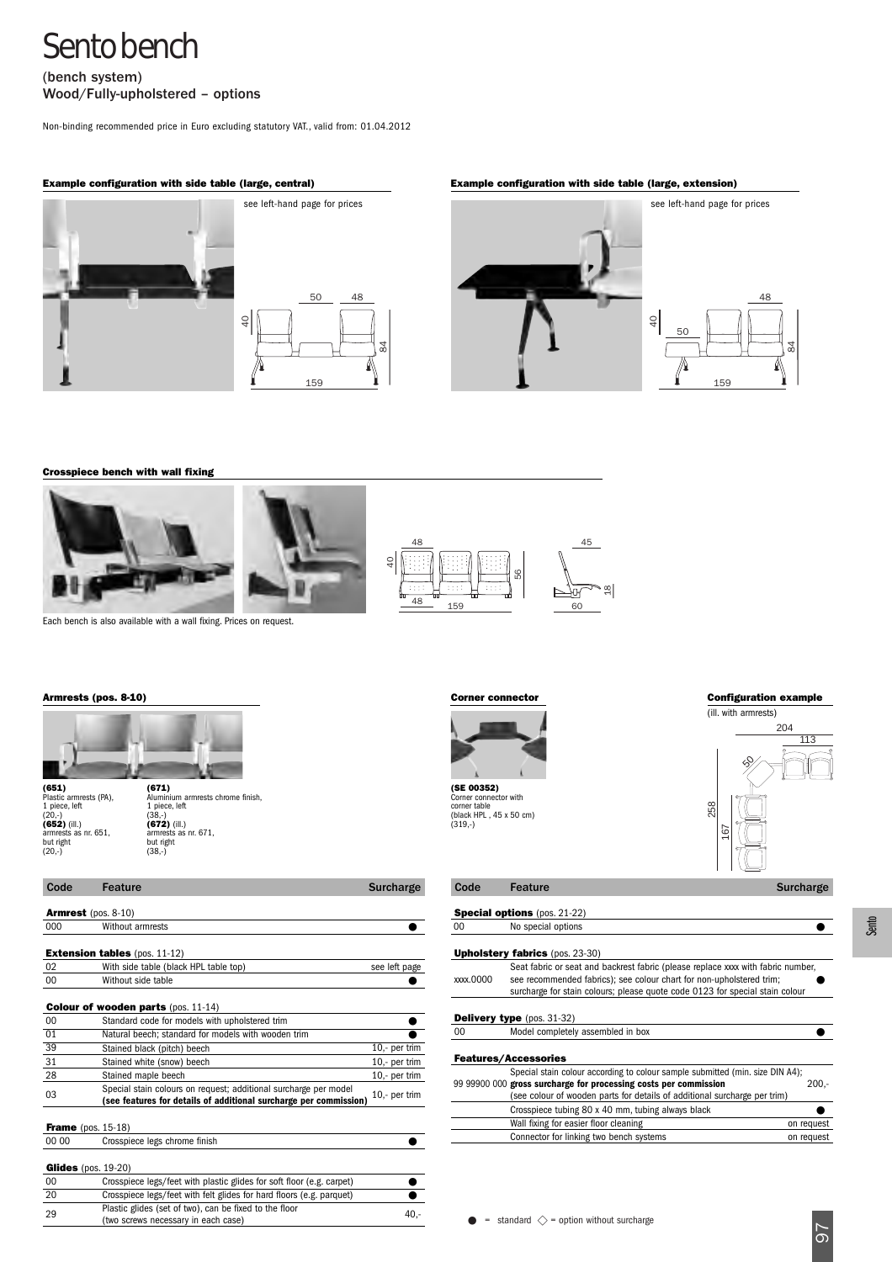(bench system) Wood/Fully-upholstered – options

Non-binding recommended price in Euro excluding statutory VAT., valid from: 01.04.2012



## **Example configuration with side table (large, central) Example configuration with side table (large, extension)**





**Crosspiece bench with wall fixing** 





84

Each bench is also available with a wall fixing. Prices on request.



Plastic armrests (PA),<br>1 piece, left<br>(20,-)<br>**(652)** (ill.)<br>armrests as nr. 651,<br>but right<br>(20,-) (38,-) but right

| 1 piece, left<br>$(38.-)$<br>$(672)$ (ill.)<br>armrests as nr. 671.<br>but right<br>$(38,-)$ |
|----------------------------------------------------------------------------------------------|
|----------------------------------------------------------------------------------------------|

| Code  | <b>Feature</b>                                                                                                                        | Surcharge     | Code            | Feature                                                                                                                                              | <b>Surcharge</b> |
|-------|---------------------------------------------------------------------------------------------------------------------------------------|---------------|-----------------|------------------------------------------------------------------------------------------------------------------------------------------------------|------------------|
|       | <b>Armrest</b> (pos. $8-10$ )                                                                                                         |               |                 | <b>Special options</b> (pos. 21-22)                                                                                                                  |                  |
| 000   | Without armrests                                                                                                                      |               | 00              | No special options                                                                                                                                   |                  |
|       | <b>Extension tables</b> (pos. $11-12$ )                                                                                               |               |                 | <b>Upholstery fabrics</b> (pos. 23-30)                                                                                                               |                  |
| 02    | With side table (black HPL table top)                                                                                                 | see left page |                 | Seat fabric or seat and backrest fabric (please replace xxxx with fabric number,                                                                     |                  |
| 00    | Without side table                                                                                                                    |               | xxxx.0000       | see recommended fabrics); see colour chart for non-upholstered trim;<br>surcharge for stain colours; please quote code 0123 for special stain colour |                  |
|       | <b>Colour of wooden parts (pos. 11-14)</b>                                                                                            |               |                 |                                                                                                                                                      |                  |
| 00    | Standard code for models with upholstered trim                                                                                        |               |                 | <b>Delivery type</b> (pos. $31-32$ )                                                                                                                 |                  |
| 01    | Natural beech; standard for models with wooden trim                                                                                   |               | 00 <sup>1</sup> | Model completely assembled in box                                                                                                                    |                  |
| 39    | Stained black (pitch) beech                                                                                                           | 10,- per trim |                 |                                                                                                                                                      |                  |
| 31    | Stained white (snow) beech                                                                                                            | 10,- per trim |                 | <b>Features/Accessories</b>                                                                                                                          |                  |
| 28    | Stained maple beech                                                                                                                   | 10,- per trim |                 | Special stain colour according to colour sample submitted (min. size DIN A4);                                                                        |                  |
| 03    | Special stain colours on request; additional surcharge per model<br>(see features for details of additional surcharge per commission) | 10,- per trim |                 | 99 99900 000 gross surcharge for processing costs per commission<br>(see colour of wooden parts for details of additional surcharge per trim)        | $200 -$          |
|       |                                                                                                                                       |               |                 | Crosspiece tubing 80 x 40 mm, tubing always black                                                                                                    |                  |
|       | <b>Frame</b> (pos. $15-18$ )                                                                                                          |               |                 | Wall fixing for easier floor cleaning                                                                                                                | on request       |
| 00 00 | Crosspiece legs chrome finish                                                                                                         |               |                 | Connector for linking two bench systems                                                                                                              | on request       |
|       | Glides (pos. $19-20$ )                                                                                                                |               |                 |                                                                                                                                                      |                  |
| 00    | Crosspiece legs/feet with plastic glides for soft floor (e.g. carpet)                                                                 |               |                 |                                                                                                                                                      |                  |
| 20    | Crosspiece legs/feet with felt glides for hard floors (e.g. parquet)                                                                  |               |                 |                                                                                                                                                      |                  |
| 29    | Plastic glides (set of two), can be fixed to the floor                                                                                | $40 -$        |                 |                                                                                                                                                      |                  |
|       |                                                                                                                                       |               |                 | $\bullet$ $-$ other dead $\land$ $-$ ontian without europerse                                                                                        |                  |

(two screws necessary in each case)



**(SE 00352)** Corner connector with corner table (black HPL , 45 x 50 cm) (319,-)

## **Armrests (pos. 8-10) Corner connector Configuration example**



| voue     | realure                                                                                                                                                                                                                                 | Surcharge |
|----------|-----------------------------------------------------------------------------------------------------------------------------------------------------------------------------------------------------------------------------------------|-----------|
|          |                                                                                                                                                                                                                                         |           |
|          | <b>Special options</b> (pos. 21-22)                                                                                                                                                                                                     |           |
| 00       | No special options                                                                                                                                                                                                                      |           |
|          |                                                                                                                                                                                                                                         |           |
|          | <b>Upholstery fabrics</b> (pos. 23-30)                                                                                                                                                                                                  |           |
| xxx.0000 | Seat fabric or seat and backrest fabric (please replace xxx with fabric number,<br>see recommended fabrics); see colour chart for non-upholstered trim;<br>surcharge for stain colours; please quote code 0123 for special stain colour |           |
|          | <b>Delivery type</b> $(pos. 31-32)$                                                                                                                                                                                                     |           |
| $00 \,$  | Model completely assembled in box                                                                                                                                                                                                       |           |
|          | <b>Features/Accessories</b>                                                                                                                                                                                                             |           |
|          | Special stain colour according to colour sample submitted (min. size DIN A4);                                                                                                                                                           |           |
|          | 99 99900 000 gross surcharge for processing costs per commission                                                                                                                                                                        | $200 -$   |
|          | (see colour of wooden parts for details of additional surcharge per trim)                                                                                                                                                               |           |
|          | Crosspiece tubing 80 x 40 mm, tubing always black                                                                                                                                                                                       |           |
|          | Wall finished four popins floor planning                                                                                                                                                                                                | .         |

|  | Wall fixing for easier floor cleaning   |  | on request |
|--|-----------------------------------------|--|------------|
|  | Connector for linking two bench systems |  | on request |
|  |                                         |  |            |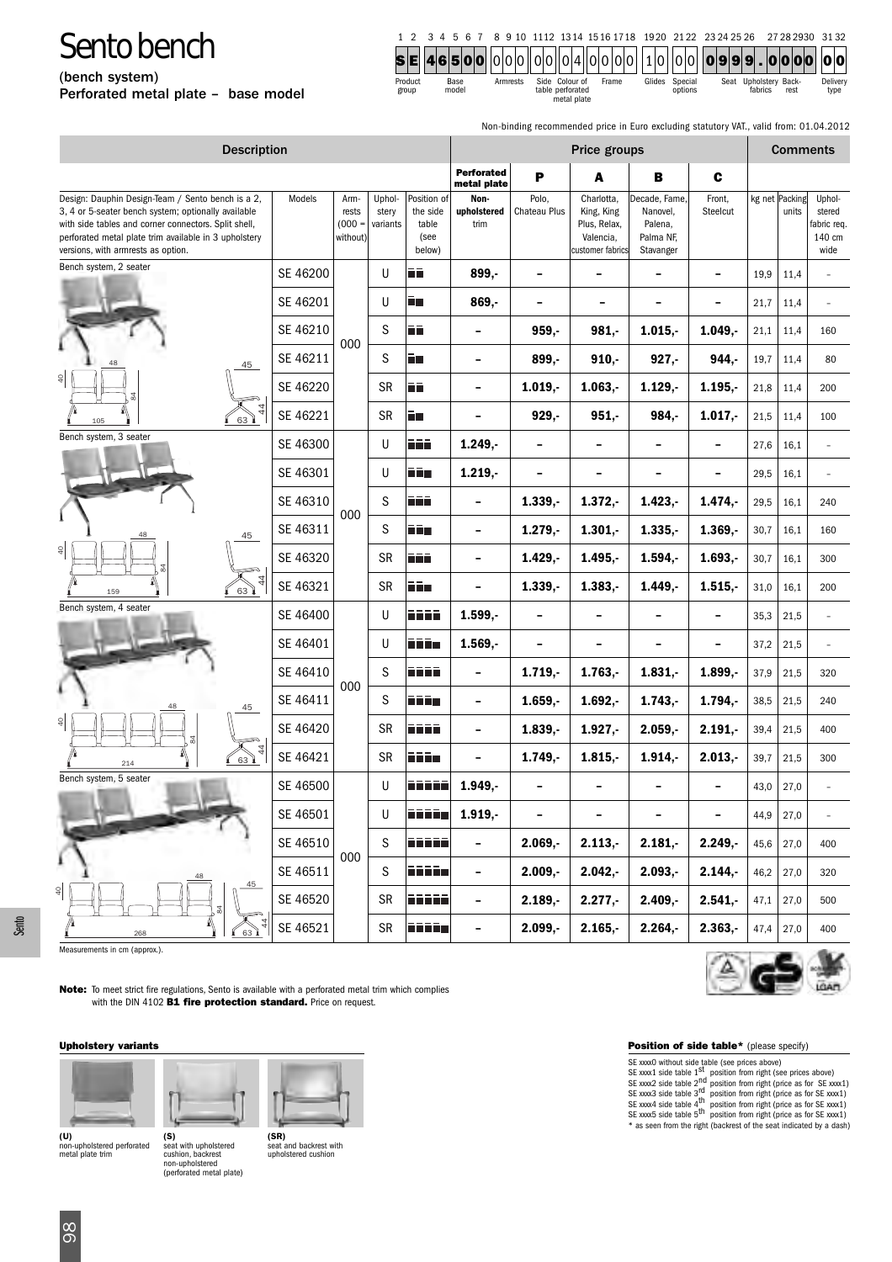(bench system)

Perforated metal plate – base model

1 2 3 4 5 6 7 8 9 10 1112 1314 1516 1718 1920 21 22 23 24 25 26 27 28 2930 31 32 **SE 46500** 000 00 04 00 00 10 00 **09 9 9 . 0000 00**

| Product<br>Base<br>model<br>group | Armrests | Side Colour of<br>table perforated<br>metal niate | Frame | Glides | Special<br>options | Seat Upholstery Back-<br>fabrics | rest | Delivery<br>tvpe |
|-----------------------------------|----------|---------------------------------------------------|-------|--------|--------------------|----------------------------------|------|------------------|

Non-binding recommended price in Euro excluding statutory VAT., valid from: 01.04.2012

| <b>Description</b>                                                                                                                                                                                                                                              | Price groups |                                       |                             |                                                    |                             | <b>Comments</b>          |                                                                           |                                                                |                          |      |                         |                                                   |
|-----------------------------------------------------------------------------------------------------------------------------------------------------------------------------------------------------------------------------------------------------------------|--------------|---------------------------------------|-----------------------------|----------------------------------------------------|-----------------------------|--------------------------|---------------------------------------------------------------------------|----------------------------------------------------------------|--------------------------|------|-------------------------|---------------------------------------------------|
|                                                                                                                                                                                                                                                                 |              |                                       |                             |                                                    | Perforated<br>metal plate   | P                        | A                                                                         | B                                                              | $\mathbf c$              |      |                         |                                                   |
| Design: Dauphin Design-Team / Sento bench is a 2,<br>3, 4 or 5-seater bench system; optionally available<br>with side tables and corner connectors. Split shell,<br>perforated metal plate trim available in 3 upholstery<br>versions, with armrests as option. | Models       | Arm-<br>rests<br>$(000 =$<br>without) | Uphol-<br>stery<br>variants | Position of<br>the side<br>table<br>(see<br>below) | Non-<br>upholstered<br>trim | Polo,<br>Chateau Plus    | Charlotta,<br>King, King<br>Plus, Relax,<br>Valencia,<br>customer fabrics | Decade, Fame,<br>Nanovel,<br>Palena,<br>Palma NF,<br>Stavanger | Front,<br>Steelcut       |      | kg net Packing<br>units | Uphol-<br>stered<br>fabric req.<br>140 cm<br>wide |
| Bench system, 2 seater                                                                                                                                                                                                                                          | SE 46200     |                                       | U                           | līñ                                                | $899. -$                    | $\overline{\phantom{a}}$ | $\overline{\phantom{a}}$                                                  | $\overline{\phantom{0}}$                                       | $\overline{\phantom{a}}$ | 19,9 | 11,4                    |                                                   |
|                                                                                                                                                                                                                                                                 | SE 46201     |                                       | U                           | ñц                                                 | 869,-                       | $\overline{\phantom{a}}$ | $\overline{\phantom{0}}$                                                  | $\overline{\phantom{0}}$                                       | $\overline{\phantom{0}}$ | 21,7 | 11,4                    |                                                   |
|                                                                                                                                                                                                                                                                 | SE 46210     |                                       | S                           | lii                                                | $\overline{\phantom{a}}$    | 959.                     | 981.                                                                      | $1.015, -$                                                     | $1.049. -$               | 21,1 | 11,4                    | 160                                               |
| 45                                                                                                                                                                                                                                                              | SE 46211     | 000                                   | S                           | Ē۳                                                 | $\overline{\phantom{a}}$    | 899,-                    | 910.                                                                      | $927, -$                                                       | $944. -$                 | 19,7 | 11,4                    | 80                                                |
| $\frac{1}{4}$                                                                                                                                                                                                                                                   | SE 46220     |                                       | SR                          | ΠĒ                                                 | -                           | 1.019.                   | $1.063 -$                                                                 | $1.129. -$                                                     | 1.195.                   | 21,8 | 11,4                    | 200                                               |
| 63<br>105                                                                                                                                                                                                                                                       | SE 46221     |                                       | <b>SR</b>                   | Ē٨                                                 | $\overline{\phantom{a}}$    | $929, -$                 | $951, -$                                                                  | 984,-                                                          | $1.017, -$               | 21,5 | 11,4                    | 100                                               |
| Bench system, 3 seater                                                                                                                                                                                                                                          | SE 46300     |                                       | U                           | n n                                                | $1.249. -$                  | $\overline{\phantom{a}}$ | $\overline{\phantom{a}}$                                                  | $\overline{\phantom{a}}$                                       | $\overline{\phantom{a}}$ | 27,6 | 16,1                    |                                                   |
|                                                                                                                                                                                                                                                                 | SE 46301     |                                       | U                           | ññ a                                               | $1.219, -$                  | $\qquad \qquad -$        | $\overline{\phantom{a}}$                                                  | -                                                              | $\overline{\phantom{0}}$ | 29,5 | 16,1                    |                                                   |
|                                                                                                                                                                                                                                                                 | SE 46310     | 000                                   | S                           | ñññ                                                | $\overline{\phantom{a}}$    | $1.339, -$               | $1.372, -$                                                                | $1.423, -$                                                     | 1.474.                   | 29,5 | 16,1                    | 240                                               |
| 45                                                                                                                                                                                                                                                              | SE 46311     |                                       | S                           | Film                                               | $\overline{\phantom{a}}$    | $1.279. -$               | $1.301 -$                                                                 | $1.335 -$                                                      | $1.369. -$               | 30,7 | 16,1                    | 160                                               |
| $\overline{6}$                                                                                                                                                                                                                                                  | SE 46320     |                                       | SR                          | nin                                                | $\overline{\phantom{a}}$    | $1.429, -$               | 1.495,                                                                    | $1.594, -$                                                     | $1.693. -$               | 30,7 | 16,1                    | 300                                               |
| $\left( \begin{matrix} 63 \end{matrix} \right)$<br>159                                                                                                                                                                                                          | SE 46321     |                                       | <b>SR</b>                   | ii:                                                | -                           | $1.339, -$               | $1.383, -$                                                                | $1.449, -$                                                     | $1.515,-$                | 31,0 | 16,1                    | 200                                               |
| Bench system, 4 seater                                                                                                                                                                                                                                          | SE 46400     |                                       | U                           | ñññ                                                | $1.599, -$                  | $\overline{\phantom{a}}$ | $\overline{\phantom{a}}$                                                  | $\overline{\phantom{a}}$                                       | $\overline{\phantom{a}}$ | 35,3 | 21,5                    |                                                   |
|                                                                                                                                                                                                                                                                 | SE 46401     |                                       | U                           | nin                                                | $1.569, -$                  | $\overline{\phantom{a}}$ | $\overline{\phantom{a}}$                                                  | -                                                              | $\overline{\phantom{0}}$ | 37,2 | 21,5                    |                                                   |
|                                                                                                                                                                                                                                                                 | SE 46410     | 000                                   | S                           | قققة                                               | $\overline{\phantom{a}}$    | $1.719, -$               | $1.763, -$                                                                | $1.831, -$                                                     | $1.899. -$               | 37,9 | 21,5                    | 320                                               |
| 45                                                                                                                                                                                                                                                              | SE 46411     |                                       | S                           | niin                                               | $\overline{\phantom{a}}$    | $1.659. -$               | $1.692, -$                                                                | $1.743, -$                                                     | 1.794.                   | 38,5 | 21,5                    | 240                                               |
| $\frac{1}{2}$                                                                                                                                                                                                                                                   | SE 46420     |                                       | SR                          | n min                                              | -                           | $1.839,-$                | $1.927, -$                                                                | $2.059, -$                                                     | $2.191. -$               | 39,4 | 21,5                    | 400                                               |
| 63<br>214                                                                                                                                                                                                                                                       | SE 46421     |                                       | <b>SR</b>                   | ñññ a                                              | $\overline{\phantom{a}}$    | $1.749, -$               | $1.815, -$                                                                | $1.914, -$                                                     | $2.013, -$               | 39,7 | 21,5                    | 300                                               |
| Bench system, 5 seater                                                                                                                                                                                                                                          | SE 46500     |                                       | U                           | n na m                                             | 1.949.                      |                          | $\overline{\phantom{a}}$                                                  |                                                                |                          | 43,0 | 27,0                    |                                                   |
|                                                                                                                                                                                                                                                                 | SE 46501     |                                       | U                           | دقققة                                              | $1.919, -$                  | $\overline{\phantom{a}}$ | $\qquad \qquad -$                                                         | $\overline{\phantom{a}}$                                       | $\overline{\phantom{0}}$ | 44,9 | 27,0                    |                                                   |
|                                                                                                                                                                                                                                                                 | SE 46510     | 000                                   | S                           | ووووو                                              | $\overline{\phantom{0}}$    | $2.069, -$               | $2.113, -$                                                                | $2.181, -$                                                     | $2.249,-$                | 45,6 | 27,0                    | 400                                               |
| 45                                                                                                                                                                                                                                                              | SE 46511     |                                       | S                           | iiiiin                                             | $\overline{\phantom{a}}$    | $2.009,-$                | $2.042, -$                                                                | $2.093,-$                                                      | $2.144, -$               | 46,2 | 27,0                    | 320                                               |
| $\frac{1}{2}$                                                                                                                                                                                                                                                   | SE 46520     |                                       | SR                          | فقفقة                                              | $\overline{\phantom{a}}$    | $2.189, -$               | $2.277,-$                                                                 | $2.409,-$                                                      | $2.541, -$               | 47,1 | 27,0                    | 500                                               |
| 63<br>268                                                                                                                                                                                                                                                       | SE 46521     |                                       | SR                          | دقققة                                              | $\overline{\phantom{a}}$    | $2.099,-$                | $2.165, -$                                                                | $2.264, -$                                                     | $2.363, -$               | 47,4 | 27,0                    | 400                                               |

Measurements in cm (approx.).

Sento

**Note:** To meet strict fire regulations, Sento is available with a perforated metal trim which complies with the DIN 4102 **B1 fire protection standard.** Price on request.

### **Upholstery variants Position of side table\*** (please specify)



**(U)** non-upholstered perforated metal plate trim **(S)**

seat with upholstered cushion, backrest non-upholstered (perforated metal plate)



seat and backrest with upholstered cushion



Δ

SE xox0 without side table (see prices above)<br>SE xox1 side table 1<sup>st</sup> position from right (see prices above)<br>SE xox2 side table 2<sup>nd</sup> position from right (price as for SE xox1)<br>SE xox3 side table 3<sup>rd</sup> position from righ